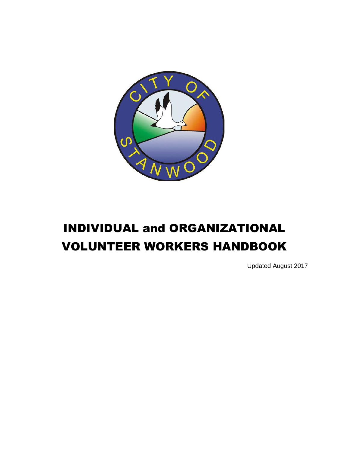

# INDIVIDUAL and ORGANIZATIONAL VOLUNTEER WORKERS HANDBOOK

Updated August 2017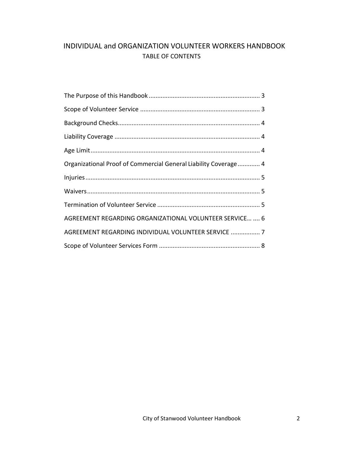# INDIVIDUAL and ORGANIZATION VOLUNTEER WORKERS HANDBOOK TABLE OF CONTENTS

| Organizational Proof of Commercial General Liability Coverage 4 |  |
|-----------------------------------------------------------------|--|
|                                                                 |  |
|                                                                 |  |
|                                                                 |  |
|                                                                 |  |
| AGREEMENT REGARDING ORGANIZATIONAL VOLUNTEER SERVICE  6         |  |
| AGREEMENT REGARDING INDIVIDUAL VOLUNTEER SERVICE  7             |  |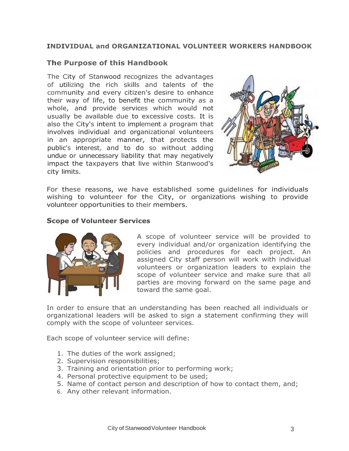## **INDIVIDUAL and ORGANIZATIONAL VOLUNTEER WORKERS HANDBOOK**

## <span id="page-2-0"></span>**The Purpose of this Handbook**

The City of Stanwood recognizes the advantages of utilizing the rich skills and talents of the community and every citizen's desire to enhance their way of life, to benefit the community as a whole, and provide services which would not usually be available due to excessive costs. It is also the City's intent to implement a program that involves individual and organizational volunteers in an appropriate manner, that protects the public's interest, and to do so without adding undue or unnecessary liability that may negatively impact the taxpayers that live within Stanwood's city limits.



For these reasons, we have established some guidelines for individuals wishing to volunteer for the City, or organizations wishing to provide volunteer opportunities to their members.

#### **Scope of Volunteer Services**



A scope of volunteer service will be provided to every individual and/or organization identifying the policies and procedures for each project. An assigned City staff person will work with individual volunteers or organization leaders to explain the scope of volunteer service and make sure that all parties are moving forward on the same page and toward the same goal.

In order to ensure that an understanding has been reached all individuals or organizational leaders will be asked to sign a statement confirming they will comply with the scope of volunteer services.

Each scope of volunteer service will define:

- 1. The duties of the work assigned;
- 2. Supervision responsibilities;
- 3. Training and orientation prior to performing work;
- 4. Personal protective equipment to be used;
- 5. Name of contact person and description of how to contact them, and;
- 6. Any other relevant information.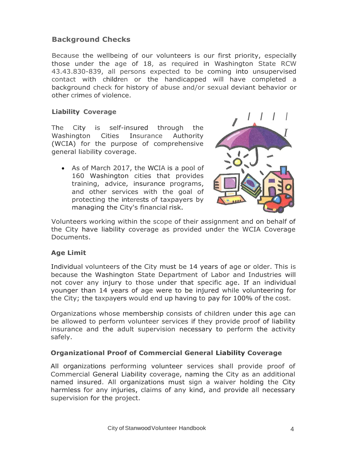## <span id="page-3-0"></span>**Background Checks**

Because the wellbeing of our volunteers is our first priority, especially those under the age of 18, as required in Washington State RCW 43.43.830-839, all persons expected to be coming into unsupervised contact with children or the handicapped will have completed a background check for history of abuse and/or sexual deviant behavior or other crimes of violence.

#### <span id="page-3-1"></span>**Liability Coverage**

The City is self-insured through the Washington Cities Insurance Authority (WCIA) for the purpose of comprehensive general liability coverage.

• As of March 2017, the WCIA is a pool of 160 Washington cities that provides training, advice, insurance programs, and other services with the goal of protecting the interests of taxpayers by managing the City's financial risk.



Volunteers working within the scope of their assignment and on behalf of the City have liability coverage as provided under the WCIA Coverage Documents.

#### <span id="page-3-2"></span>**Age Limit**

Individual volunteers of the City must be 14 years of age or older. This is because the Washington State Department of Labor and Industries will not cover any injury to those under that specific age. If an individual younger than 14 years of age were to be injured while volunteering for the City; the taxpayers would end up having to pay for 100% of the cost.

Organizations whose membership consists of children under this age can be allowed to perform volunteer services if they provide proof of liability insurance and the adult supervision necessary to perform the activity safely.

## <span id="page-3-3"></span>**Organizational Proof of Commercial General Liability Coverage**

All organizations performing volunteer services shall provide proof of Commercial General Liability coverage, naming the City as an additional named insured. All organizations must sign a waiver holding the City harmless for any injuries, claims of any kind, and provide all necessary supervision for the project.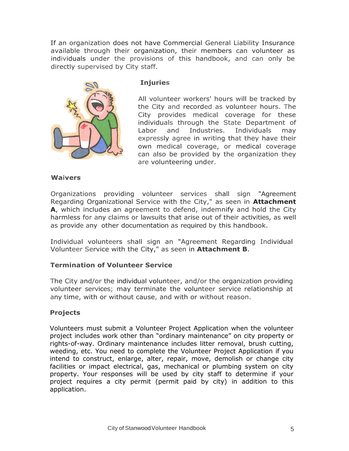If an organization does not have Commercial General Liability Insurance available through their organization, their members can volunteer as individuals under the provisions of this handbook, and can only be directly supervised by City staff.

<span id="page-4-0"></span>

#### **Injuries**

All volunteer workers' hours will be tracked by the City and recorded as volunteer hours. The City provides medical coverage for these individuals through the State Department of Labor and Industries. Individuals may expressly agree in writing that they have their own medical coverage, or medical coverage can also be provided by the organization they are volunteering under.

#### <span id="page-4-1"></span>**Waivers**

Organizations providing volunteer services shall sign "Agreement Regarding Organizational Service with the City," as seen in **Attachment A**, which includes an agreement to defend, indemnify and hold the City harmless for any claims or lawsuits that arise out of their activities, as well as provide any other documentation as required by this handbook.

Individual volunteers shall sign an "Agreement Regarding Individual Volunteer Service with the City," as seen in **Attachment B**.

#### <span id="page-4-2"></span>**Termination of Volunteer Service**

The City and/or the individual volunteer, and/or the organization providing volunteer services; may terminate the volunteer service relationship at any time, with or without cause, and with or without reason.

#### **Projects**

Volunteers must submit a Volunteer Project Application when the volunteer project includes work other than "ordinary maintenance" on city property or rights-of-way. Ordinary maintenance includes litter removal, brush cutting, weeding, etc. You need to complete the Volunteer Project Application if you intend to construct, enlarge, alter, repair, move, demolish or change city facilities or impact electrical, gas, mechanical or plumbing system on city property. Your responses will be used by city staff to determine if your project requires a city permit (permit paid by city) in addition to this application.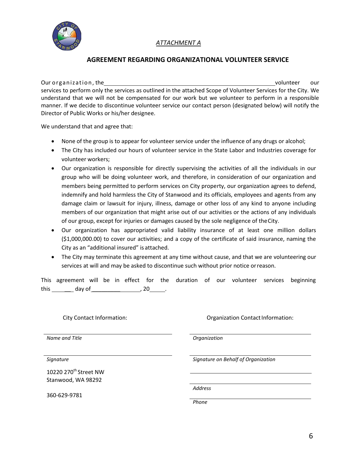

## *ATTACHMENT A*

## **AGREEMENT REGARDING ORGANIZATIONAL VOLUNTEER SERVICE**

Our o rgan iz atio n, the volunteer our services to perform only the services as outlined in the attached Scope of Volunteer Services for the City. We understand that we will not be compensated for our work but we volunteer to perform in a responsible manner. If we decide to discontinue volunteer service our contact person (designated below) will notify the Director of Public Works or his/her designee.

We understand that and agree that:

- None of the group is to appear for volunteer service under the influence of any drugs or alcohol;
- The City has included our hours of volunteer service in the State Labor and Industries coverage for volunteer workers;
- Our organization is responsible for directly supervising the activities of all the individuals in our group who will be doing volunteer work, and therefore, in consideration of our organization and members being permitted to perform services on City property, our organization agrees to defend, indemnify and hold harmless the City of Stanwood and its officials, employees and agents from any damage claim or lawsuit for injury, illness, damage or other loss of any kind to anyone including members of our organization that might arise out of our activities or the actions of any individuals of our group, except for injuries or damages caused by the sole negligence of theCity.
- Our organization has appropriated valid liability insurance of at least one million dollars (\$1,000,000.00) to cover our activities; and a copy of the certificate of said insurance, naming the City as an "additional insured" is attached.
- The City may terminate this agreement at any time without cause, and that we are volunteering our services at will and may be asked to discontinue such without prior notice orreason.

| This agreement will be in effect for the duration of our volunteer services beginning |  |  |  |  |  |  |
|---------------------------------------------------------------------------------------|--|--|--|--|--|--|
| this day of                                                                           |  |  |  |  |  |  |

*Name and Title Organization*

10220 270<sup>th</sup> Street NW Stanwood, WA 98292

360-629-9781

City Contact Information: City Contact Information: City Contact Information:

*Signature Signature on Behalf of Organization*

*Address*

*Phone*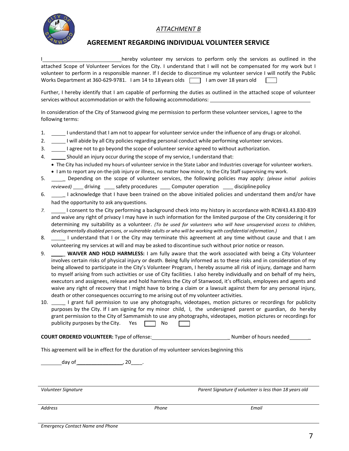<span id="page-6-0"></span>

#### *ATTACHMENT B*

#### **AGREEMENT REGARDING INDIVIDUAL VOLUNTEER SERVICE**

hereby volunteer my services to perform only the services as outlined in the attached Scope of Volunteer Services for the City. I understand that I will not be compensated for my work but I volunteer to perform in a responsible manner. If I decide to discontinue my volunteer service I will notify the Public Works Department at 360-629-9781. I am 14 to 18 years olds  $\Box$  I am over 18 years old

Further, I hereby identify that I am capable of performing the duties as outlined in the attached scope of volunteer services without accommodation or with the following accommodations:

In consideration of the City of Stanwood giving me permission to perform these volunteer services, I agree to the following terms:

- 1. \_\_\_\_\_\_\_I understand that I am not to appear for volunteer service under the influence of any drugs or alcohol.
- 2. \_\_\_\_\_I will abide by all City policies regarding personal conduct while performing volunteer services.
- 3. **I agree not to go beyond the scope of volunteer service agreed to without authorization.**
- 4. Should an injury occur during the scope of my service, I understand that:
	- The City has included my hours of volunteer service in the State Labor and Industries coverage for volunteer workers.
	- I am to report any on-the-job injury or illness, no matter how minor, to the City Staff supervising my work.
- 5.\_ Depending on the scope of volunteer services, the following policies may apply: *(please initial policies reviewed*) \_\_\_ driving \_\_\_\_ safety procedures \_\_\_\_ Computer operation \_\_\_\_ discipline policy
- 6. \_\_\_\_\_\_1 acknowledge that I have been trained on the above initialed policies and understand them and/or have had the opportunity to ask anyquestions.
- *7.* I consent to the City performing a background check into my history in accordance with RCW43.43.830-839 and waive any right of privacy I may have in such information for the limited purpose of the City considering it for determining my suitability as a volunteer. *(To be used for volunteers who will have unsupervised access to children, developmentally disabled persons, or vulnerable adults or who will be working with confidential information.)*
- 8. \_\_\_\_\_\_ I understand that I or the City may terminate this agreement at any time without cause and that I am volunteering my services at will and may be asked to discontinue such without prior notice or reason.
- 9. \_ **WAIVER AND HOLD HARMLESS:** I am fully aware that the work associated with being a City Volunteer involves certain risks of physical injury or death. Being fully informed as to these risks and in consideration of my being allowed to participate in the City's Volunteer Program, I hereby assume all risk of injury, damage and harm to myself arising from such activities or use of City facilities. I also hereby individually and on behalf of my heirs, executors and assignees, release and hold harmless the City of Stanwood, it's officials, employees and agents and waive any right of recovery that I might have to bring a claim or a lawsuit against them for any personal injury, death or other consequences occurring to me arising out of my volunteer activities.
- 10. \_ I grant full permission to use any photographs, videotapes, motion pictures or recordings for publicity purposes by the City. If I am signing for my minor child, I, the undersigned parent or guardian, do hereby grant permission to the City of Sammamish to use any photographs, videotapes, motion pictures or recordings for publicity purposes by the City. Yes  $\Box$  No

**COURT ORDERED VOLUNTEER:** Type of offense: \_ Number of hours needed \_

This agreement will be in effect for the duration of my volunteer services beginning this

day of \_\_\_\_\_\_\_\_\_\_\_\_\_\_\_\_, 20\_\_\_\_.

*Volunteer Signature Parent Signature if volunteer is less than 18 years old*

*Address Phone Email*